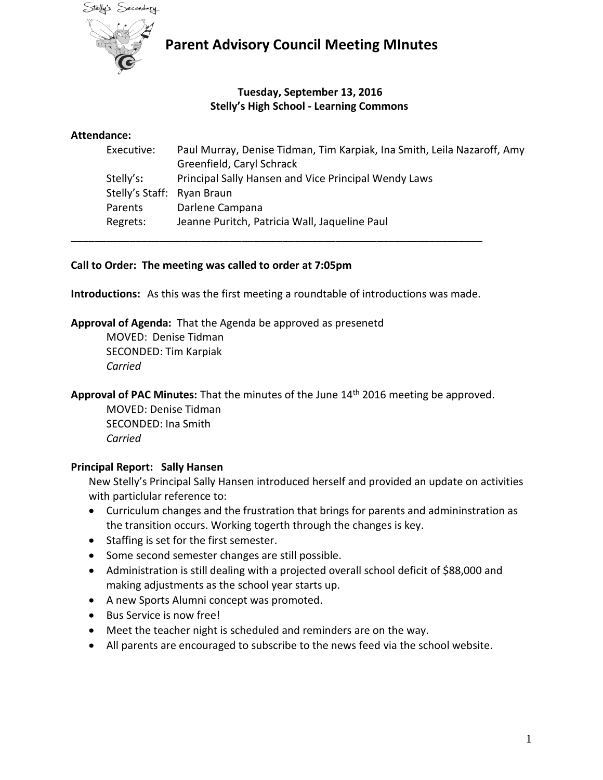

### **Tuesday, September 13, 2016 Stelly's High School - Learning Commons**

#### **Attendance:**

| Executive:                 | Paul Murray, Denise Tidman, Tim Karpiak, Ina Smith, Leila Nazaroff, Amy<br>Greenfield, Caryl Schrack |
|----------------------------|------------------------------------------------------------------------------------------------------|
|                            |                                                                                                      |
| Stelly's:                  | Principal Sally Hansen and Vice Principal Wendy Laws                                                 |
| Stelly's Staff: Ryan Braun |                                                                                                      |
| Parents                    | Darlene Campana                                                                                      |
| Regrets:                   | Jeanne Puritch, Patricia Wall, Jaqueline Paul                                                        |

#### **Call to Order: The meeting was called to order at 7:05pm**

**Introductions:** As this was the first meeting a roundtable of introductions was made.

\_\_\_\_\_\_\_\_\_\_\_\_\_\_\_\_\_\_\_\_\_\_\_\_\_\_\_\_\_\_\_\_\_\_\_\_\_\_\_\_\_\_\_\_\_\_\_\_\_\_\_\_\_\_\_\_\_\_\_\_\_\_\_\_\_\_\_\_\_\_

**Approval of Agenda:** That the Agenda be approved as presenetd

MOVED: Denise Tidman SECONDED: Tim Karpiak *Carried*

Approval of PAC Minutes: That the minutes of the June 14<sup>th</sup> 2016 meeting be approved.

MOVED: Denise Tidman SECONDED: Ina Smith *Carried*

#### **Principal Report: Sally Hansen**

New Stelly's Principal Sally Hansen introduced herself and provided an update on activities with particlular reference to:

- Curriculum changes and the frustration that brings for parents and admininstration as the transition occurs. Working togerth through the changes is key.
- Staffing is set for the first semester.
- Some second semester changes are still possible.
- Administration is still dealing with a projected overall school deficit of \$88,000 and making adjustments as the school year starts up.
- A new Sports Alumni concept was promoted.
- Bus Service is now free!
- Meet the teacher night is scheduled and reminders are on the way.
- All parents are encouraged to subscribe to the news feed via the school website.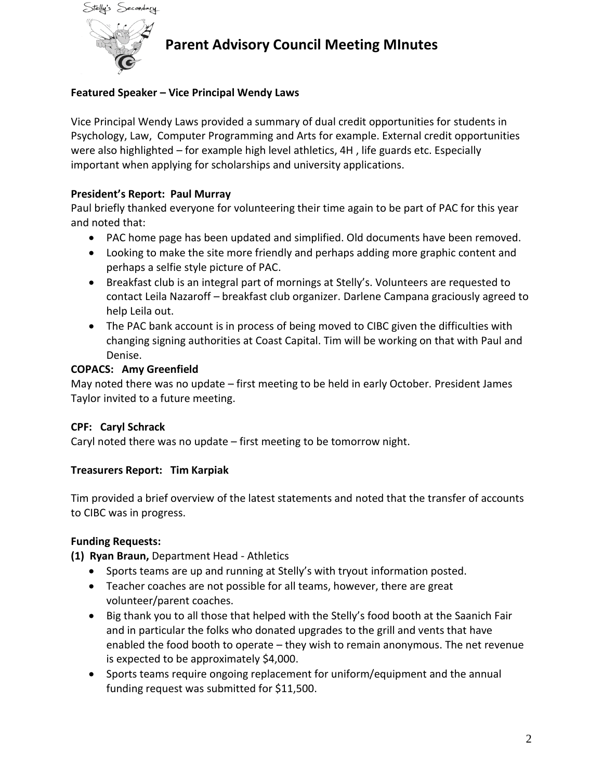

#### **Featured Speaker – Vice Principal Wendy Laws**

Vice Principal Wendy Laws provided a summary of dual credit opportunities for students in Psychology, Law, Computer Programming and Arts for example. External credit opportunities were also highlighted – for example high level athletics, 4H , life guards etc. Especially important when applying for scholarships and university applications.

#### **President's Report: Paul Murray**

Paul briefly thanked everyone for volunteering their time again to be part of PAC for this year and noted that:

- PAC home page has been updated and simplified. Old documents have been removed.
- Looking to make the site more friendly and perhaps adding more graphic content and perhaps a selfie style picture of PAC.
- Breakfast club is an integral part of mornings at Stelly's. Volunteers are requested to contact Leila Nazaroff – breakfast club organizer. Darlene Campana graciously agreed to help Leila out.
- The PAC bank account is in process of being moved to CIBC given the difficulties with changing signing authorities at Coast Capital. Tim will be working on that with Paul and Denise.

#### **COPACS: Amy Greenfield**

May noted there was no update – first meeting to be held in early October. President James Taylor invited to a future meeting.

#### **CPF: Caryl Schrack**

Caryl noted there was no update – first meeting to be tomorrow night.

#### **Treasurers Report: Tim Karpiak**

Tim provided a brief overview of the latest statements and noted that the transfer of accounts to CIBC was in progress.

#### **Funding Requests:**

**(1) Ryan Braun,** Department Head - Athletics

- Sports teams are up and running at Stelly's with tryout information posted.
- Teacher coaches are not possible for all teams, however, there are great volunteer/parent coaches.
- Big thank you to all those that helped with the Stelly's food booth at the Saanich Fair and in particular the folks who donated upgrades to the grill and vents that have enabled the food booth to operate – they wish to remain anonymous. The net revenue is expected to be approximately \$4,000.
- Sports teams require ongoing replacement for uniform/equipment and the annual funding request was submitted for \$11,500.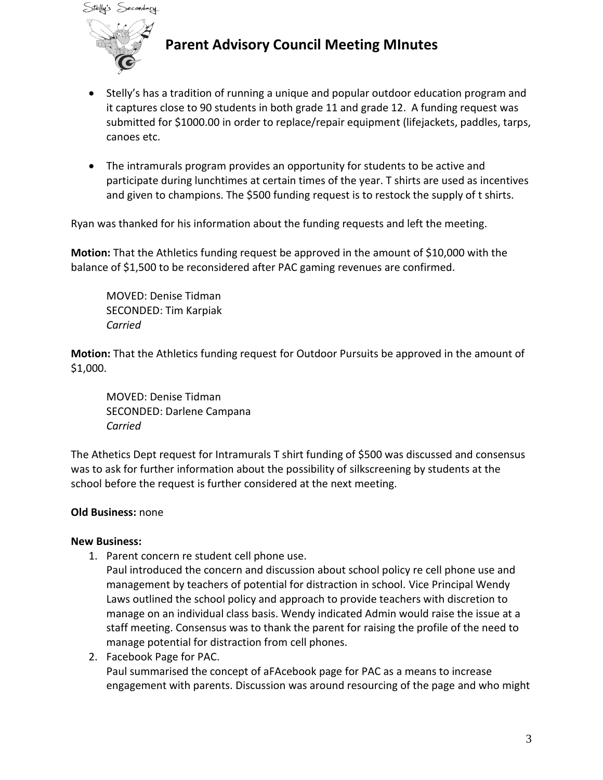



- Stelly's has a tradition of running a unique and popular outdoor education program and it captures close to 90 students in both grade 11 and grade 12. A funding request was submitted for \$1000.00 in order to replace/repair equipment (lifejackets, paddles, tarps, canoes etc.
- The intramurals program provides an opportunity for students to be active and participate during lunchtimes at certain times of the year. T shirts are used as incentives and given to champions. The \$500 funding request is to restock the supply of t shirts.

Ryan was thanked for his information about the funding requests and left the meeting.

**Motion:** That the Athletics funding request be approved in the amount of \$10,000 with the balance of \$1,500 to be reconsidered after PAC gaming revenues are confirmed.

MOVED: Denise Tidman SECONDED: Tim Karpiak *Carried*

**Motion:** That the Athletics funding request for Outdoor Pursuits be approved in the amount of \$1,000.

MOVED: Denise Tidman SECONDED: Darlene Campana *Carried*

The Athetics Dept request for Intramurals T shirt funding of \$500 was discussed and consensus was to ask for further information about the possibility of silkscreening by students at the school before the request is further considered at the next meeting.

### **Old Business:** none

#### **New Business:**

- 1. Parent concern re student cell phone use.
	- Paul introduced the concern and discussion about school policy re cell phone use and management by teachers of potential for distraction in school. Vice Principal Wendy Laws outlined the school policy and approach to provide teachers with discretion to manage on an individual class basis. Wendy indicated Admin would raise the issue at a staff meeting. Consensus was to thank the parent for raising the profile of the need to manage potential for distraction from cell phones.
- 2. Facebook Page for PAC.

Paul summarised the concept of aFAcebook page for PAC as a means to increase engagement with parents. Discussion was around resourcing of the page and who might